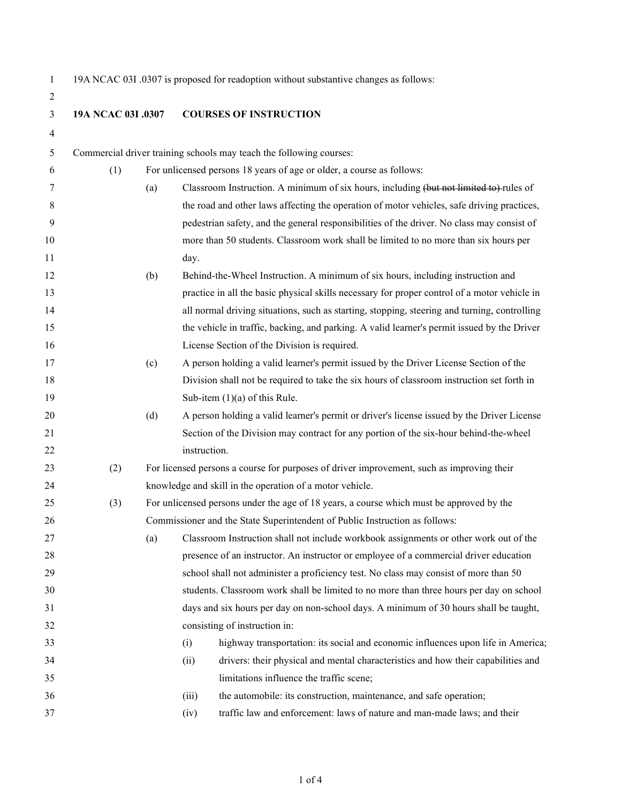$\overline{2}$ 

19A NCAC 03I .0307 is proposed for readoption without substantive changes as follows:

| ∠  |                    |                                                                                              |                                                                                            |                                                                                              |  |  |  |
|----|--------------------|----------------------------------------------------------------------------------------------|--------------------------------------------------------------------------------------------|----------------------------------------------------------------------------------------------|--|--|--|
| 3  | 19A NCAC 03I .0307 |                                                                                              | <b>COURSES OF INSTRUCTION</b>                                                              |                                                                                              |  |  |  |
| 4  |                    |                                                                                              |                                                                                            |                                                                                              |  |  |  |
| 5  |                    |                                                                                              |                                                                                            | Commercial driver training schools may teach the following courses:                          |  |  |  |
| 6  | (1)                |                                                                                              |                                                                                            | For unlicensed persons 18 years of age or older, a course as follows:                        |  |  |  |
| 7  |                    | (a)                                                                                          |                                                                                            | Classroom Instruction. A minimum of six hours, including (but not limited to) rules of       |  |  |  |
| 8  |                    |                                                                                              |                                                                                            | the road and other laws affecting the operation of motor vehicles, safe driving practices,   |  |  |  |
| 9  |                    |                                                                                              |                                                                                            | pedestrian safety, and the general responsibilities of the driver. No class may consist of   |  |  |  |
| 10 |                    |                                                                                              |                                                                                            | more than 50 students. Classroom work shall be limited to no more than six hours per         |  |  |  |
| 11 |                    |                                                                                              | day.                                                                                       |                                                                                              |  |  |  |
| 12 |                    | (b)                                                                                          |                                                                                            | Behind-the-Wheel Instruction. A minimum of six hours, including instruction and              |  |  |  |
| 13 |                    |                                                                                              |                                                                                            | practice in all the basic physical skills necessary for proper control of a motor vehicle in |  |  |  |
| 14 |                    |                                                                                              |                                                                                            | all normal driving situations, such as starting, stopping, steering and turning, controlling |  |  |  |
| 15 |                    |                                                                                              |                                                                                            | the vehicle in traffic, backing, and parking. A valid learner's permit issued by the Driver  |  |  |  |
| 16 |                    |                                                                                              |                                                                                            | License Section of the Division is required.                                                 |  |  |  |
| 17 |                    | (c)                                                                                          |                                                                                            | A person holding a valid learner's permit issued by the Driver License Section of the        |  |  |  |
| 18 |                    |                                                                                              |                                                                                            | Division shall not be required to take the six hours of classroom instruction set forth in   |  |  |  |
| 19 |                    |                                                                                              |                                                                                            | Sub-item $(1)(a)$ of this Rule.                                                              |  |  |  |
| 20 |                    | (d)                                                                                          | A person holding a valid learner's permit or driver's license issued by the Driver License |                                                                                              |  |  |  |
| 21 |                    |                                                                                              |                                                                                            | Section of the Division may contract for any portion of the six-hour behind-the-wheel        |  |  |  |
| 22 |                    |                                                                                              | instruction.                                                                               |                                                                                              |  |  |  |
| 23 | (2)                | For licensed persons a course for purposes of driver improvement, such as improving their    |                                                                                            |                                                                                              |  |  |  |
| 24 |                    |                                                                                              |                                                                                            | knowledge and skill in the operation of a motor vehicle.                                     |  |  |  |
| 25 | (3)                | For unlicensed persons under the age of 18 years, a course which must be approved by the     |                                                                                            |                                                                                              |  |  |  |
| 26 |                    | Commissioner and the State Superintendent of Public Instruction as follows:                  |                                                                                            |                                                                                              |  |  |  |
| 27 |                    | Classroom Instruction shall not include workbook assignments or other work out of the<br>(a) |                                                                                            |                                                                                              |  |  |  |
| 28 |                    | presence of an instructor. An instructor or employee of a commercial driver education        |                                                                                            |                                                                                              |  |  |  |
| 29 |                    |                                                                                              |                                                                                            | school shall not administer a proficiency test. No class may consist of more than 50         |  |  |  |
| 30 |                    |                                                                                              |                                                                                            | students. Classroom work shall be limited to no more than three hours per day on school      |  |  |  |
| 31 |                    |                                                                                              |                                                                                            | days and six hours per day on non-school days. A minimum of 30 hours shall be taught,        |  |  |  |
| 32 |                    |                                                                                              |                                                                                            | consisting of instruction in:                                                                |  |  |  |
| 33 |                    |                                                                                              | (i)                                                                                        | highway transportation: its social and economic influences upon life in America;             |  |  |  |
| 34 |                    |                                                                                              | (ii)                                                                                       | drivers: their physical and mental characteristics and how their capabilities and            |  |  |  |
| 35 |                    |                                                                                              |                                                                                            | limitations influence the traffic scene;                                                     |  |  |  |
| 36 |                    |                                                                                              | (iii)                                                                                      | the automobile: its construction, maintenance, and safe operation;                           |  |  |  |
| 37 |                    |                                                                                              | (iv)                                                                                       | traffic law and enforcement: laws of nature and man-made laws; and their                     |  |  |  |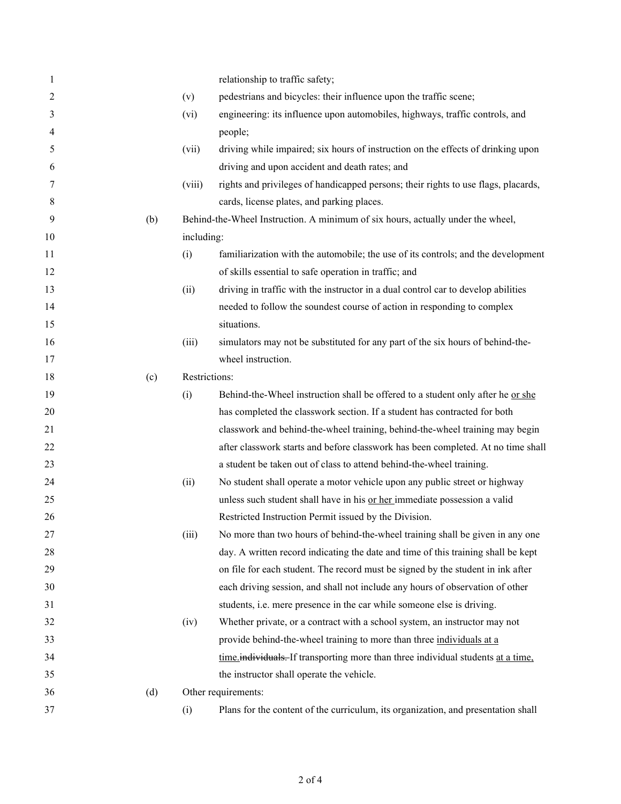| 1  |     |               | relationship to traffic safety;                                                    |  |  |
|----|-----|---------------|------------------------------------------------------------------------------------|--|--|
| 2  |     | (v)           | pedestrians and bicycles: their influence upon the traffic scene;                  |  |  |
| 3  |     | (vi)          | engineering: its influence upon automobiles, highways, traffic controls, and       |  |  |
| 4  |     |               | people;                                                                            |  |  |
| 5  |     | (vii)         | driving while impaired; six hours of instruction on the effects of drinking upon   |  |  |
| 6  |     |               | driving and upon accident and death rates; and                                     |  |  |
| 7  |     | (viii)        | rights and privileges of handicapped persons; their rights to use flags, placards, |  |  |
| 8  |     |               | cards, license plates, and parking places.                                         |  |  |
| 9  | (b) |               | Behind-the-Wheel Instruction. A minimum of six hours, actually under the wheel,    |  |  |
| 10 |     | including:    |                                                                                    |  |  |
| 11 |     | (i)           | familiarization with the automobile; the use of its controls; and the development  |  |  |
| 12 |     |               | of skills essential to safe operation in traffic; and                              |  |  |
| 13 |     | (ii)          | driving in traffic with the instructor in a dual control car to develop abilities  |  |  |
| 14 |     |               | needed to follow the soundest course of action in responding to complex            |  |  |
| 15 |     |               | situations.                                                                        |  |  |
| 16 |     | (iii)         | simulators may not be substituted for any part of the six hours of behind-the-     |  |  |
| 17 |     |               | wheel instruction.                                                                 |  |  |
| 18 | (c) | Restrictions: |                                                                                    |  |  |
| 19 |     | (i)           | Behind-the-Wheel instruction shall be offered to a student only after he or she    |  |  |
| 20 |     |               | has completed the classwork section. If a student has contracted for both          |  |  |
| 21 |     |               | classwork and behind-the-wheel training, behind-the-wheel training may begin       |  |  |
| 22 |     |               | after classwork starts and before classwork has been completed. At no time shall   |  |  |
| 23 |     |               | a student be taken out of class to attend behind-the-wheel training.               |  |  |
| 24 |     | (ii)          | No student shall operate a motor vehicle upon any public street or highway         |  |  |
| 25 |     |               | unless such student shall have in his or her immediate possession a valid          |  |  |
| 26 |     |               | Restricted Instruction Permit issued by the Division.                              |  |  |
| 27 |     | (iii)         | No more than two hours of behind-the-wheel training shall be given in any one      |  |  |
| 28 |     |               | day. A written record indicating the date and time of this training shall be kept  |  |  |
| 29 |     |               | on file for each student. The record must be signed by the student in ink after    |  |  |
| 30 |     |               | each driving session, and shall not include any hours of observation of other      |  |  |
| 31 |     |               | students, i.e. mere presence in the car while someone else is driving.             |  |  |
| 32 |     | (iv)          | Whether private, or a contract with a school system, an instructor may not         |  |  |
| 33 |     |               | provide behind-the-wheel training to more than three individuals at a              |  |  |
| 34 |     |               | time individuals. If transporting more than three individual students at a time.   |  |  |
| 35 |     |               | the instructor shall operate the vehicle.                                          |  |  |
| 36 | (d) |               | Other requirements:                                                                |  |  |
| 37 |     | (i)           | Plans for the content of the curriculum, its organization, and presentation shall  |  |  |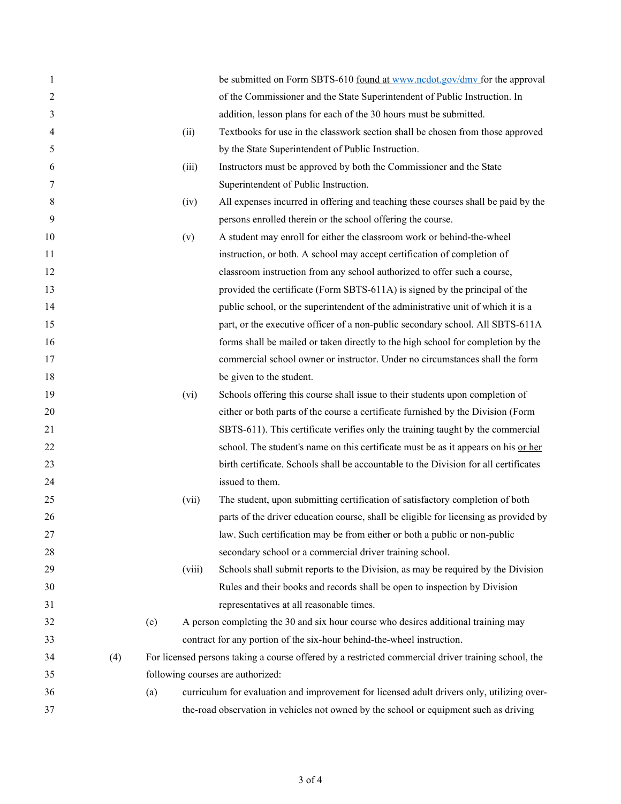| 1  |     |     |                                   | be submitted on Form SBTS-610 found at www.ncdot.gov/dmv for the approval                           |  |
|----|-----|-----|-----------------------------------|-----------------------------------------------------------------------------------------------------|--|
| 2  |     |     |                                   | of the Commissioner and the State Superintendent of Public Instruction. In                          |  |
| 3  |     |     |                                   | addition, lesson plans for each of the 30 hours must be submitted.                                  |  |
| 4  |     |     | (ii)                              | Textbooks for use in the classwork section shall be chosen from those approved                      |  |
| 5  |     |     |                                   | by the State Superintendent of Public Instruction.                                                  |  |
| 6  |     |     | (iii)                             | Instructors must be approved by both the Commissioner and the State                                 |  |
| 7  |     |     |                                   | Superintendent of Public Instruction.                                                               |  |
| 8  |     |     | (iv)                              | All expenses incurred in offering and teaching these courses shall be paid by the                   |  |
| 9  |     |     |                                   | persons enrolled therein or the school offering the course.                                         |  |
| 10 |     |     | (v)                               | A student may enroll for either the classroom work or behind-the-wheel                              |  |
| 11 |     |     |                                   | instruction, or both. A school may accept certification of completion of                            |  |
| 12 |     |     |                                   | classroom instruction from any school authorized to offer such a course,                            |  |
| 13 |     |     |                                   | provided the certificate (Form SBTS-611A) is signed by the principal of the                         |  |
| 14 |     |     |                                   | public school, or the superintendent of the administrative unit of which it is a                    |  |
| 15 |     |     |                                   | part, or the executive officer of a non-public secondary school. All SBTS-611A                      |  |
| 16 |     |     |                                   | forms shall be mailed or taken directly to the high school for completion by the                    |  |
| 17 |     |     |                                   | commercial school owner or instructor. Under no circumstances shall the form                        |  |
| 18 |     |     |                                   | be given to the student.                                                                            |  |
| 19 |     |     | (vi)                              | Schools offering this course shall issue to their students upon completion of                       |  |
| 20 |     |     |                                   | either or both parts of the course a certificate furnished by the Division (Form                    |  |
| 21 |     |     |                                   | SBTS-611). This certificate verifies only the training taught by the commercial                     |  |
| 22 |     |     |                                   | school. The student's name on this certificate must be as it appears on his or her                  |  |
| 23 |     |     |                                   | birth certificate. Schools shall be accountable to the Division for all certificates                |  |
| 24 |     |     |                                   | issued to them.                                                                                     |  |
| 25 |     |     | (vii)                             | The student, upon submitting certification of satisfactory completion of both                       |  |
| 26 |     |     |                                   | parts of the driver education course, shall be eligible for licensing as provided by                |  |
| 27 |     |     |                                   | law. Such certification may be from either or both a public or non-public                           |  |
| 28 |     |     |                                   | secondary school or a commercial driver training school.                                            |  |
| 29 |     |     | (viii)                            | Schools shall submit reports to the Division, as may be required by the Division                    |  |
| 30 |     |     |                                   | Rules and their books and records shall be open to inspection by Division                           |  |
| 31 |     |     |                                   | representatives at all reasonable times.                                                            |  |
| 32 |     | (e) |                                   | A person completing the 30 and six hour course who desires additional training may                  |  |
| 33 |     |     |                                   | contract for any portion of the six-hour behind-the-wheel instruction.                              |  |
| 34 | (4) |     |                                   | For licensed persons taking a course offered by a restricted commercial driver training school, the |  |
| 35 |     |     | following courses are authorized: |                                                                                                     |  |
| 36 |     | (a) |                                   | curriculum for evaluation and improvement for licensed adult drivers only, utilizing over-          |  |
| 37 |     |     |                                   | the-road observation in vehicles not owned by the school or equipment such as driving               |  |